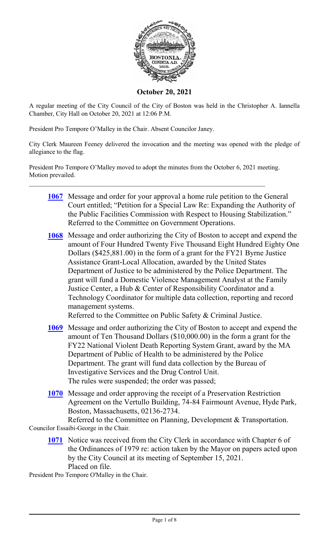

**October 20, 2021**

A regular meeting of the City Council of the City of Boston was held in the Christopher A. Iannella Chamber, City Hall on October 20, 2021 at 12:06 P.M.

President Pro Tempore O'Malley in the Chair. Absent Councilor Janey.

City Clerk Maureen Feeney delivered the invocation and the meeting was opened with the pledge of allegiance to the flag.

President Pro Tempore O'Malley moved to adopt the minutes from the October 6, 2021 meeting. Motion prevailed.

- **[1067](http://boston.legistar.com/gateway.aspx?m=l&id=/matter.aspx?key=4911)** Message and order for your approval a home rule petition to the General Court entitled; "Petition for a Special Law Re: Expanding the Authority of the Public Facilities Commission with Respect to Housing Stabilization." Referred to the Committee on Government Operations.
- **[1068](http://boston.legistar.com/gateway.aspx?m=l&id=/matter.aspx?key=4907)** Message and order authorizing the City of Boston to accept and expend the amount of Four Hundred Twenty Five Thousand Eight Hundred Eighty One Dollars (\$425,881.00) in the form of a grant for the FY21 Byrne Justice Assistance Grant-Local Allocation, awarded by the United States Department of Justice to be administered by the Police Department. The grant will fund a Domestic Violence Management Analyst at the Family Justice Center, a Hub & Center of Responsibility Coordinator and a Technology Coordinator for multiple data collection, reporting and record management systems.

Referred to the Committee on Public Safety & Criminal Justice.

- **[1069](http://boston.legistar.com/gateway.aspx?m=l&id=/matter.aspx?key=4932)** Message and order authorizing the City of Boston to accept and expend the amount of Ten Thousand Dollars (\$10,000.00) in the form a grant for the FY22 National Violent Death Reporting System Grant, award by the MA Department of Public of Health to be administered by the Police Department. The grant will fund data collection by the Bureau of Investigative Services and the Drug Control Unit. The rules were suspended; the order was passed;
- **[1070](http://boston.legistar.com/gateway.aspx?m=l&id=/matter.aspx?key=4908)** Message and order approving the receipt of a Preservation Restriction Agreement on the Vertullo Building, 74-84 Fairmount Avenue, Hyde Park, Boston, Massachusetts, 02136-2734.

Referred to the Committee on Planning, Development & Transportation. Councilor Essaibi-George in the Chair.

**[1071](http://boston.legistar.com/gateway.aspx?m=l&id=/matter.aspx?key=4909)** Notice was received from the City Clerk in accordance with Chapter 6 of the Ordinances of 1979 re: action taken by the Mayor on papers acted upon by the City Council at its meeting of September 15, 2021. Placed on file.

President Pro Tempore O'Malley in the Chair.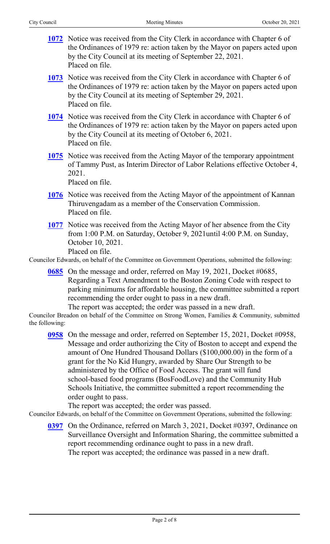- **[1072](http://boston.legistar.com/gateway.aspx?m=l&id=/matter.aspx?key=4883)** Notice was received from the City Clerk in accordance with Chapter 6 of the Ordinances of 1979 re: action taken by the Mayor on papers acted upon by the City Council at its meeting of September 22, 2021. Placed on file.
- **[1073](http://boston.legistar.com/gateway.aspx?m=l&id=/matter.aspx?key=4884)** Notice was received from the City Clerk in accordance with Chapter 6 of the Ordinances of 1979 re: action taken by the Mayor on papers acted upon by the City Council at its meeting of September 29, 2021. Placed on file.
- **[1074](http://boston.legistar.com/gateway.aspx?m=l&id=/matter.aspx?key=4885)** Notice was received from the City Clerk in accordance with Chapter 6 of the Ordinances of 1979 re: action taken by the Mayor on papers acted upon by the City Council at its meeting of October 6, 2021. Placed on file.
- **[1075](http://boston.legistar.com/gateway.aspx?m=l&id=/matter.aspx?key=4940)** Notice was received from the Acting Mayor of the temporary appointment of Tammy Pust, as Interim Director of Labor Relations effective October 4, 2021.

Placed on file.

- **[1076](http://boston.legistar.com/gateway.aspx?m=l&id=/matter.aspx?key=4886)** Notice was received from the Acting Mayor of the appointment of Kannan Thiruvengadam as a member of the Conservation Commission. Placed on file.
- **[1077](http://boston.legistar.com/gateway.aspx?m=l&id=/matter.aspx?key=4905)** Notice was received from the Acting Mayor of her absence from the City from 1:00 P.M. on Saturday, October 9, 2021until 4:00 P.M. on Sunday, October 10, 2021. Placed on file.

Councilor Edwards, on behalf of the Committee on Government Operations, submitted the following:

**[0685](http://boston.legistar.com/gateway.aspx?m=l&id=/matter.aspx?key=4685)** On the message and order, referred on May 19, 2021, Docket #0685, Regarding a Text Amendment to the Boston Zoning Code with respect to parking minimums for affordable housing, the committee submitted a report recommending the order ought to pass in a new draft.

The report was accepted; the order was passed in a new draft.

Councilor Breadon on behalf of the Committee on Strong Women, Families & Community, submitted the following:

**[0958](http://boston.legistar.com/gateway.aspx?m=l&id=/matter.aspx?key=4755)** On the message and order, referred on September 15, 2021, Docket #0958, Message and order authorizing the City of Boston to accept and expend the amount of One Hundred Thousand Dollars (\$100,000.00) in the form of a grant for the No Kid Hungry, awarded by Share Our Strength to be administered by the Office of Food Access. The grant will fund school-based food programs (BosFoodLove) and the Community Hub Schools Initiative, the committee submitted a report recommending the order ought to pass.

The report was accepted; the order was passed.

Councilor Edwards, on behalf of the Committee on Government Operations, submitted the following:

**[0397](http://boston.legistar.com/gateway.aspx?m=l&id=/matter.aspx?key=4770)** On the Ordinance, referred on March 3, 2021, Docket #0397, Ordinance on Surveillance Oversight and Information Sharing, the committee submitted a report recommending ordinance ought to pass in a new draft. The report was accepted; the ordinance was passed in a new draft.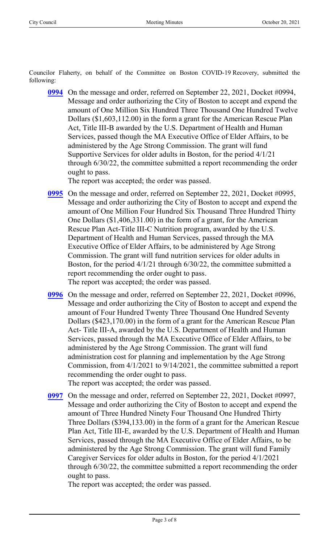Councilor Flaherty, on behalf of the Committee on Boston COVID-19 Recovery, submitted the following:

**[0994](http://boston.legistar.com/gateway.aspx?m=l&id=/matter.aspx?key=4788)** On the message and order, referred on September 22, 2021, Docket #0994, Message and order authorizing the City of Boston to accept and expend the amount of One Million Six Hundred Three Thousand One Hundred Twelve Dollars (\$1,603,112.00) in the form a grant for the American Rescue Plan Act, Title III-B awarded by the U.S. Department of Health and Human Services, passed though the MA Executive Office of Elder Affairs, to be administered by the Age Strong Commission. The grant will fund Supportive Services for older adults in Boston, for the period 4/1/21 through 6/30/22, the committee submitted a report recommending the order ought to pass.

The report was accepted; the order was passed.

- **[0995](http://boston.legistar.com/gateway.aspx?m=l&id=/matter.aspx?key=4789)** On the message and order, referred on September 22, 2021, Docket #0995, Message and order authorizing the City of Boston to accept and expend the amount of One Million Four Hundred Six Thousand Three Hundred Thirty One Dollars (\$1,406,331.00) in the form of a grant, for the American Rescue Plan Act-Title III-C Nutrition program, awarded by the U.S. Department of Health and Human Services, passed through the MA Executive Office of Elder Affairs, to be administered by Age Strong Commission. The grant will fund nutrition services for older adults in Boston, for the period 4/1/21 through 6/30/22, the committee submitted a report recommending the order ought to pass. The report was accepted; the order was passed.
- **[0996](http://boston.legistar.com/gateway.aspx?m=l&id=/matter.aspx?key=4790)** On the message and order, referred on September 22, 2021, Docket #0996, Message and order authorizing the City of Boston to accept and expend the amount of Four Hundred Twenty Three Thousand One Hundred Seventy Dollars (\$423,170.00) in the form of a grant for the American Rescue Plan Act- Title III-A, awarded by the U.S. Department of Health and Human Services, passed through the MA Executive Office of Elder Affairs, to be administered by the Age Strong Commission. The grant will fund administration cost for planning and implementation by the Age Strong Commission, from 4/1/2021 to 9/14/2021, the committee submitted a report recommending the order ought to pass.

The report was accepted; the order was passed.

**[0997](http://boston.legistar.com/gateway.aspx?m=l&id=/matter.aspx?key=4791)** On the message and order, referred on September 22, 2021, Docket #0997, Message and order authorizing the City of Boston to accept and expend the amount of Three Hundred Ninety Four Thousand One Hundred Thirty Three Dollars (\$394,133.00) in the form of a grant for the American Rescue Plan Act, Title III-E, awarded by the U.S. Department of Health and Human Services, passed through the MA Executive Office of Elder Affairs, to be administered by the Age Strong Commission. The grant will fund Family Caregiver Services for older adults in Boston, for the period 4/1/2021 through 6/30/22, the committee submitted a report recommending the order ought to pass.

The report was accepted; the order was passed.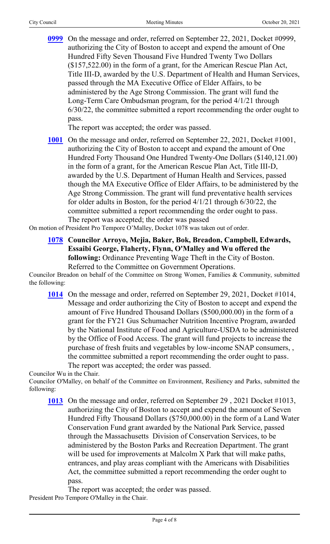**[0999](http://boston.legistar.com/gateway.aspx?m=l&id=/matter.aspx?key=4792)** On the message and order, referred on September 22, 2021, Docket #0999, authorizing the City of Boston to accept and expend the amount of One Hundred Fifty Seven Thousand Five Hundred Twenty Two Dollars (\$157,522.00) in the form of a grant, for the American Rescue Plan Act, Title III-D, awarded by the U.S. Department of Health and Human Services, passed through the MA Executive Office of Elder Affairs, to be administered by the Age Strong Commission. The grant will fund the Long-Term Care Ombudsman program, for the period 4/1/21 through 6/30/22, the committee submitted a report recommending the order ought to pass.

The report was accepted; the order was passed.

**[1001](http://boston.legistar.com/gateway.aspx?m=l&id=/matter.aspx?key=4793)** On the message and order, referred on September 22, 2021, Docket #1001, authorizing the City of Boston to accept and expand the amount of One Hundred Forty Thousand One Hundred Twenty-One Dollars (\$140,121.00) in the form of a grant, for the American Rescue Plan Act, Title III-D, awarded by the U.S. Department of Human Health and Services, passed though the MA Executive Office of Elder Affairs, to be administered by the Age Strong Commission. The grant will fund preventative health services for older adults in Boston, for the period 4/1/21 through 6/30/22, the committee submitted a report recommending the order ought to pass. The report was accepted; the order was passed

On motion of President Pro Tempore O'Malley, Docket 1078 was taken out of order.

**[1078](http://boston.legistar.com/gateway.aspx?m=l&id=/matter.aspx?key=4904) Councilor Arroyo, Mejia, Baker, Bok, Breadon, Campbell, Edwards, Essaibi George, Flaherty, Flynn, O'Malley and Wu offered the following:** Ordinance Preventing Wage Theft in the City of Boston. Referred to the Committee on Government Operations.

Councilor Breadon on behalf of the Committee on Strong Women, Families & Community, submitted the following:

**[1014](http://boston.legistar.com/gateway.aspx?m=l&id=/matter.aspx?key=4815)** On the message and order, referred on September 29, 2021, Docket #1014, Message and order authorizing the City of Boston to accept and expend the amount of Five Hundred Thousand Dollars (\$500,000.00) in the form of a grant for the FY21 Gus Schumacher Nutrition Incentive Program, awarded by the National Institute of Food and Agriculture-USDA to be administered by the Office of Food Access. The grant will fund projects to increase the purchase of fresh fruits and vegetables by low-income SNAP consumers, , the committee submitted a report recommending the order ought to pass. The report was accepted; the order was passed.

Councilor Wu in the Chair.

Councilor O'Malley, on behalf of the Committee on Environment, Resiliency and Parks, submitted the following:

**[1013](http://boston.legistar.com/gateway.aspx?m=l&id=/matter.aspx?key=4843)** On the message and order, referred on September 29 , 2021 Docket #1013, authorizing the City of Boston to accept and expend the amount of Seven Hundred Fifty Thousand Dollars (\$750,000.00) in the form of a Land Water Conservation Fund grant awarded by the National Park Service, passed through the Massachusetts Division of Conservation Services, to be administered by the Boston Parks and Recreation Department. The grant will be used for improvements at Malcolm X Park that will make paths, entrances, and play areas compliant with the Americans with Disabilities Act, the committee submitted a report recommending the order ought to pass.

The report was accepted; the order was passed. President Pro Tempore O'Malley in the Chair.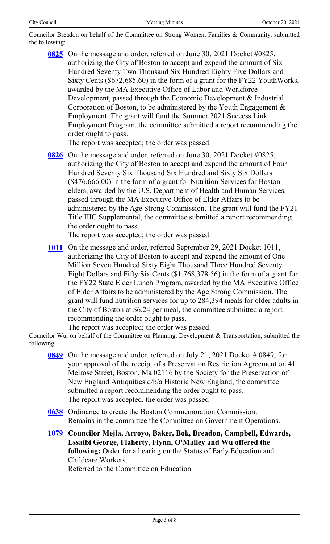Councilor Breadon on behalf of the Committee on Strong Women, Families & Community, submitted the following:

**[0825](http://boston.legistar.com/gateway.aspx?m=l&id=/matter.aspx?key=4622)** On the message and order, referred on June 30, 2021 Docket #0825, authorizing the City of Boston to accept and expend the amount of Six Hundred Seventy Two Thousand Six Hundred Eighty Five Dollars and Sixty Cents (\$672,685.60) in the form of a grant for the FY22 YouthWorks, awarded by the MA Executive Office of Labor and Workforce Development, passed through the Economic Development & Industrial Corporation of Boston, to be administered by the Youth Engagement & Employment. The grant will fund the Summer 2021 Success Link Employment Program, the committee submitted a report recommending the order ought to pass.

The report was accepted; the order was passed.

**[0826](http://boston.legistar.com/gateway.aspx?m=l&id=/matter.aspx?key=4621)** On the message and order, referred on June 30, 2021 Docket #0825, authorizing the City of Boston to accept and expend the amount of Four Hundred Seventy Six Thousand Six Hundred and Sixty Six Dollars (\$476,666.00) in the form of a grant for Nutrition Services for Boston elders, awarded by the U.S. Department of Health and Human Services, passed through the MA Executive Office of Elder Affairs to be administered by the Age Strong Commission. The grant will fund the FY21 Title IIIC Supplemental, the committee submitted a report recommending the order ought to pass.

The report was accepted; the order was passed.

**[1011](http://boston.legistar.com/gateway.aspx?m=l&id=/matter.aspx?key=4814)** On the message and order, referred September 29, 2021 Docket 1011, authorizing the City of Boston to accept and expend the amount of One Million Seven Hundred Sixty Eight Thousand Three Hundred Seventy Eight Dollars and Fifty Six Cents (\$1,768,378.56) in the form of a grant for the FY22 State Elder Lunch Program, awarded by the MA Executive Office of Elder Affairs to be administered by the Age Strong Commission. The grant will fund nutrition services for up to 284,394 meals for older adults in the City of Boston at \$6.24 per meal, the committee submitted a report recommending the order ought to pass.

The report was accepted; the order was passed.

Councilor Wu, on behalf of the Committee on Planning, Development & Transportation, submitted the following:

- **[0849](http://boston.legistar.com/gateway.aspx?m=l&id=/matter.aspx?key=4733)** On the message and order, referred on July 21, 2021 Docket # 0849, for your approval of the receipt of a Preservation Restriction Agreement on 41 Melrose Street, Boston, Ma 02116 by the Society for the Preservation of New England Antiquities d/b/a Historic New England, the committee submitted a report recommending the order ought to pass. The report was accepted, the order was passed
- **[0638](http://boston.legistar.com/gateway.aspx?m=l&id=/matter.aspx?key=4681)** Ordinance to create the Boston Commemoration Commission. Remains in the committee the Committee on Government Operations.
- **[1079](http://boston.legistar.com/gateway.aspx?m=l&id=/matter.aspx?key=4900) Councilor Mejia, Arroyo, Baker, Bok, Breadon, Campbell, Edwards, Essaibi George, Flaherty, Flynn, O'Malley and Wu offered the following:** Order for a hearing on the Status of Early Education and Childcare Workers. Referred to the Committee on Education.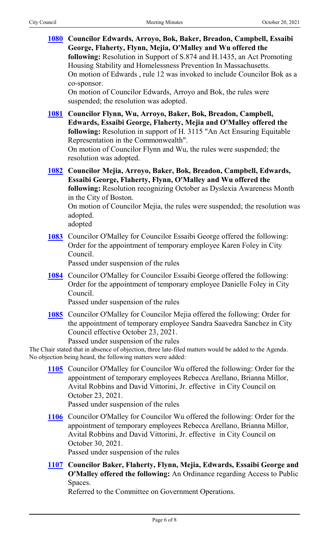**[1080](http://boston.legistar.com/gateway.aspx?m=l&id=/matter.aspx?key=4935) Councilor Edwards, Arroyo, Bok, Baker, Breadon, Campbell, Essaibi George, Flaherty, Flynn, Mejia, O'Malley and Wu offered the following:** Resolution in Support of S.874 and H.1435, an Act Promoting Housing Stability and Homelessness Prevention In Massachusetts. On motion of Edwards , rule 12 was invoked to include Councilor Bok as a co-sponsor.

On motion of Councilor Edwards, Arroyo and Bok, the rules were suspended; the resolution was adopted.

**[1081](http://boston.legistar.com/gateway.aspx?m=l&id=/matter.aspx?key=4937) Councilor Flynn, Wu, Arroyo, Baker, Bok, Breadon, Campbell, Edwards, Essaibi George, Flaherty, Mejia and O'Malley offered the following:** Resolution in support of H. 3115 "An Act Ensuring Equitable Representation in the Commonwealth".

On motion of Councilor Flynn and Wu, the rules were suspended; the resolution was adopted.

**[1082](http://boston.legistar.com/gateway.aspx?m=l&id=/matter.aspx?key=4938) Councilor Mejia, Arroyo, Baker, Bok, Breadon, Campbell, Edwards, Essaibi George, Flaherty, Flynn, O'Malley and Wu offered the following:** Resolution recognizing October as Dyslexia Awareness Month in the City of Boston. On motion of Councilor Mejia, the rules were suspended; the resolution was

adopted. adopted

**[1083](http://boston.legistar.com/gateway.aspx?m=l&id=/matter.aspx?key=4895)** Councilor O'Malley for Councilor Essaibi George offered the following: Order for the appointment of temporary employee Karen Foley in City Council.

Passed under suspension of the rules

**[1084](http://boston.legistar.com/gateway.aspx?m=l&id=/matter.aspx?key=4897)** Councilor O'Malley for Councilor Essaibi George offered the following: Order for the appointment of temporary employee Danielle Foley in City Council.

Passed under suspension of the rules

**[1085](http://boston.legistar.com/gateway.aspx?m=l&id=/matter.aspx?key=4944)** Councilor O'Malley for Councilor Mejia offered the following: Order for the appointment of temporary employee Sandra Saavedra Sanchez in City Council effective October 23, 2021.

Passed under suspension of the rules

The Chair stated that in absence of objection, three late-filed matters would be added to the Agenda. No objection being heard, the following matters were added:

**[1105](http://boston.legistar.com/gateway.aspx?m=l&id=/matter.aspx?key=4967)** Councilor O'Malley for Councilor Wu offered the following: Order for the appointment of temporary employees Rebecca Arellano, Brianna Millor, Avital Robbins and David Vittorini, Jr. effective in City Council on October 23, 2021.

Passed under suspension of the rules

**[1106](http://boston.legistar.com/gateway.aspx?m=l&id=/matter.aspx?key=4968)** Councilor O'Malley for Councilor Wu offered the following: Order for the appointment of temporary employees Rebecca Arellano, Brianna Millor, Avital Robbins and David Vittorini, Jr. effective in City Council on October 30, 2021.

Passed under suspension of the rules

**[1107](http://boston.legistar.com/gateway.aspx?m=l&id=/matter.aspx?key=4969) Councilor Baker, Flaherty, Flynn, Mejia, Edwards, Essaibi George and O'Malley offered the following:** An Ordinance regarding Access to Public Spaces.

Referred to the Committee on Government Operations.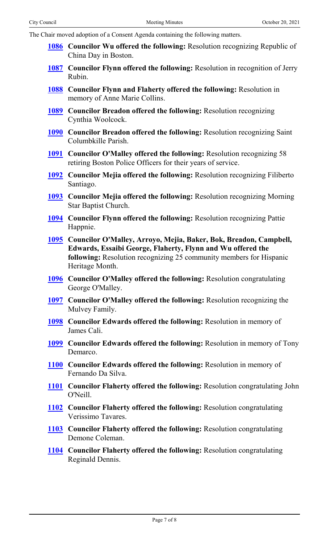The Chair moved adoption of a Consent Agenda containing the following matters.

- **[1086](http://boston.legistar.com/gateway.aspx?m=l&id=/matter.aspx?key=4887) Councilor Wu offered the following:** Resolution recognizing Republic of China Day in Boston.
- **[1087](http://boston.legistar.com/gateway.aspx?m=l&id=/matter.aspx?key=4898) Councilor Flynn offered the following:** Resolution in recognition of Jerry Rubin.
- **[1088](http://boston.legistar.com/gateway.aspx?m=l&id=/matter.aspx?key=4899) Councilor Flynn and Flaherty offered the following:** Resolution in memory of Anne Marie Collins.
- **[1089](http://boston.legistar.com/gateway.aspx?m=l&id=/matter.aspx?key=4901) Councilor Breadon offered the following:** Resolution recognizing Cynthia Woolcock.
- **[1090](http://boston.legistar.com/gateway.aspx?m=l&id=/matter.aspx?key=4902) Councilor Breadon offered the following:** Resolution recognizing Saint Columbkille Parish.
- **[1091](http://boston.legistar.com/gateway.aspx?m=l&id=/matter.aspx?key=4906) Councilor O'Malley offered the following:** Resolution recognizing 58 retiring Boston Police Officers for their years of service.
- **[1092](http://boston.legistar.com/gateway.aspx?m=l&id=/matter.aspx?key=4934) Councilor Mejia offered the following:** Resolution recognizing Filiberto Santiago.
- **[1093](http://boston.legistar.com/gateway.aspx?m=l&id=/matter.aspx?key=4936) Councilor Mejia offered the following:** Resolution recognizing Morning Star Baptist Church.
- **[1094](http://boston.legistar.com/gateway.aspx?m=l&id=/matter.aspx?key=4939) Councilor Flynn offered the following:** Resolution recognizing Pattie Happnie.
- **[1095](http://boston.legistar.com/gateway.aspx?m=l&id=/matter.aspx?key=4941) Councilor O'Malley, Arroyo, Mejia, Baker, Bok, Breadon, Campbell, Edwards, Essaibi George, Flaherty, Flynn and Wu offered the following:** Resolution recognizing 25 community members for Hispanic Heritage Month.
- **[1096](http://boston.legistar.com/gateway.aspx?m=l&id=/matter.aspx?key=4942) Councilor O'Malley offered the following:** Resolution congratulating George O'Malley.
- **[1097](http://boston.legistar.com/gateway.aspx?m=l&id=/matter.aspx?key=4943) Councilor O'Malley offered the following:** Resolution recognizing the Mulvey Family.
- **[1098](http://boston.legistar.com/gateway.aspx?m=l&id=/matter.aspx?key=4945) Councilor Edwards offered the following:** Resolution in memory of James Cali.
- **[1099](http://boston.legistar.com/gateway.aspx?m=l&id=/matter.aspx?key=4946) Councilor Edwards offered the following:** Resolution in memory of Tony Demarco.
- **[1100](http://boston.legistar.com/gateway.aspx?m=l&id=/matter.aspx?key=4947) Councilor Edwards offered the following:** Resolution in memory of Fernando Da Silva.
- **[1101](http://boston.legistar.com/gateway.aspx?m=l&id=/matter.aspx?key=4948) Councilor Flaherty offered the following:** Resolution congratulating John O'Neill.
- **[1102](http://boston.legistar.com/gateway.aspx?m=l&id=/matter.aspx?key=4951) Councilor Flaherty offered the following:** Resolution congratulating Verissimo Tavares.
- **[1103](http://boston.legistar.com/gateway.aspx?m=l&id=/matter.aspx?key=4952) Councilor Flaherty offered the following:** Resolution congratulating Demone Coleman.
- **[1104](http://boston.legistar.com/gateway.aspx?m=l&id=/matter.aspx?key=4953) Councilor Flaherty offered the following:** Resolution congratulating Reginald Dennis.